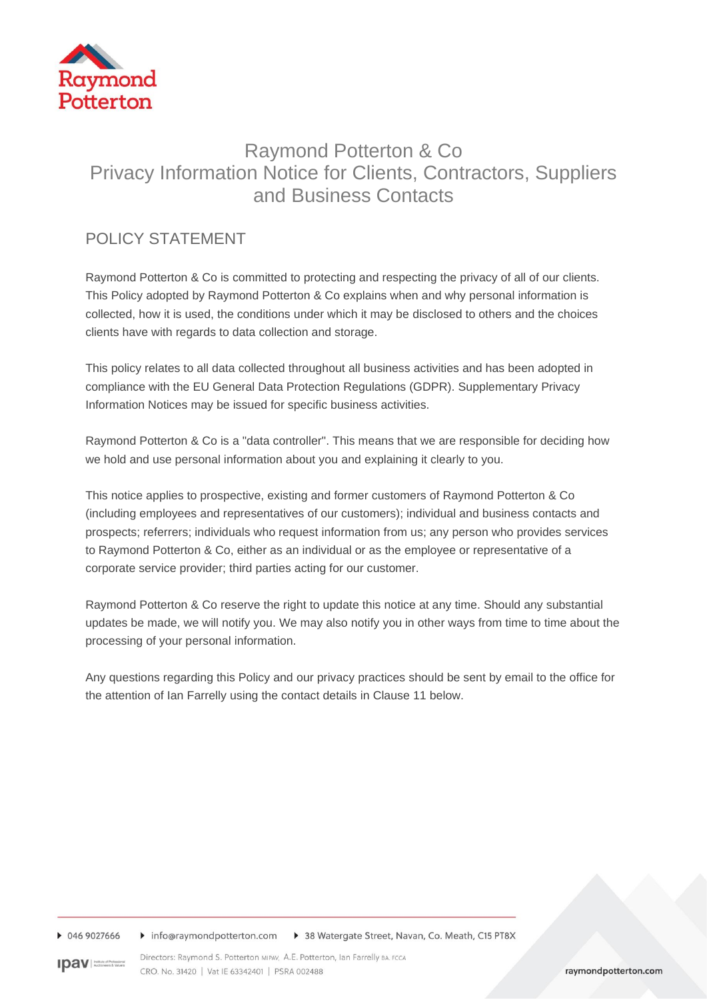

# Raymond Potterton & Co Privacy Information Notice for Clients, Contractors, Suppliers and Business Contacts

# POLICY STATEMENT

Raymond Potterton & Co is committed to protecting and respecting the privacy of all of our clients. This Policy adopted by Raymond Potterton & Co explains when and why personal information is collected, how it is used, the conditions under which it may be disclosed to others and the choices clients have with regards to data collection and storage.

This policy relates to all data collected throughout all business activities and has been adopted in compliance with the EU General Data Protection Regulations (GDPR). Supplementary Privacy Information Notices may be issued for specific business activities.

Raymond Potterton & Co is a "data controller". This means that we are responsible for deciding how we hold and use personal information about you and explaining it clearly to you.

This notice applies to prospective, existing and former customers of Raymond Potterton & Co (including employees and representatives of our customers); individual and business contacts and prospects; referrers; individuals who request information from us; any person who provides services to Raymond Potterton & Co, either as an individual or as the employee or representative of a corporate service provider; third parties acting for our customer.

Raymond Potterton & Co reserve the right to update this notice at any time. Should any substantial updates be made, we will notify you. We may also notify you in other ways from time to time about the processing of your personal information.

Any questions regarding this Policy and our privacy practices should be sent by email to the office for the attention of Ian Farrelly using the contact details in Clause 11 below.

▶ 046 9027666 ▶ info@raymondpotterton.com ▶ 38 Watergate Street, Navan, Co. Meath, C15 PT8X

Directors: Raymond S. Potterton MIPAV, A.E. Potterton, Ian Farrelly BA. FCCA **IDAV** Austine of Professional CRO. No. 31420 | Vat IE 63342401 | PSRA 002488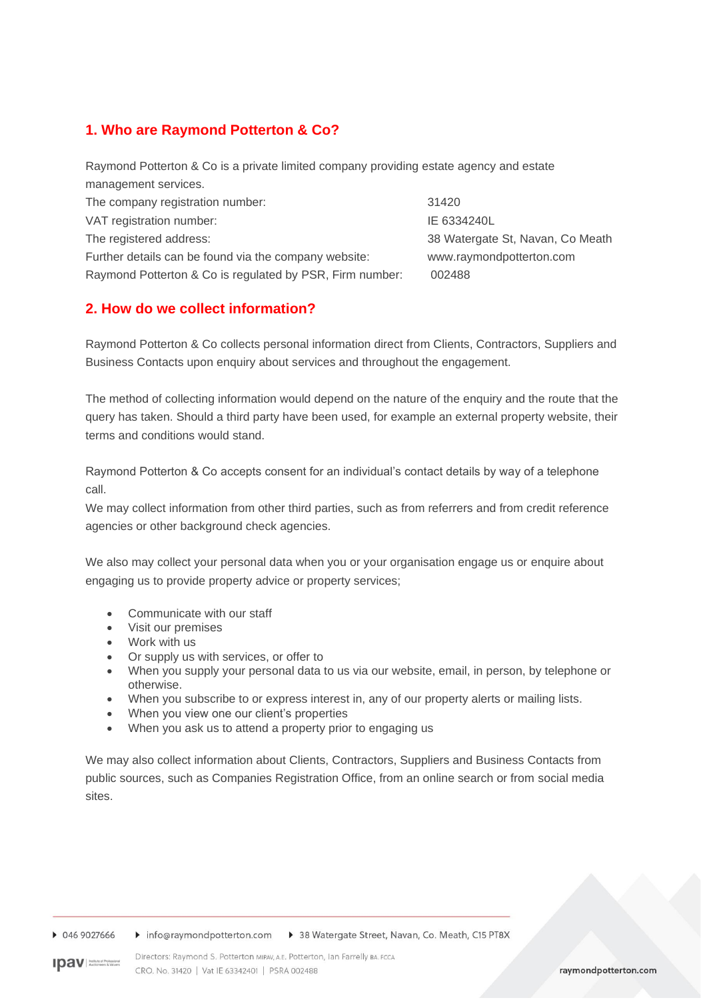# **1. Who are Raymond Potterton & Co?**

Raymond Potterton & Co is a private limited company providing estate agency and estate management services. The company registration number: 31420 VAT registration number: International Section 1.1 and Section 1.1 and Section 1.1 and Section 1.1 and Section 1 The registered address: 38 Watergate St, Navan, Co Meath Further details can be found via the company website: www.raymondpotterton.com Raymond Potterton & Co is regulated by PSR, Firm number: 002488

# **2. How do we collect information?**

Raymond Potterton & Co collects personal information direct from Clients, Contractors, Suppliers and Business Contacts upon enquiry about services and throughout the engagement.

The method of collecting information would depend on the nature of the enquiry and the route that the query has taken. Should a third party have been used, for example an external property website, their terms and conditions would stand.

Raymond Potterton & Co accepts consent for an individual's contact details by way of a telephone call.

We may collect information from other third parties, such as from referrers and from credit reference agencies or other background check agencies.

We also may collect your personal data when you or your organisation engage us or enquire about engaging us to provide property advice or property services;

- Communicate with our staff
- Visit our premises
- Work with us
- Or supply us with services, or offer to
- When you supply your personal data to us via our website, email, in person, by telephone or otherwise.
- When you subscribe to or express interest in, any of our property alerts or mailing lists.
- When you view one our client's properties
- When you ask us to attend a property prior to engaging us

We may also collect information about Clients, Contractors, Suppliers and Business Contacts from public sources, such as Companies Registration Office, from an online search or from social media sites.

▶ 046 9027666 ▶ info@raymondpotterton.com ▶ 38 Watergate Street, Navan, Co. Meath, C15 PT8X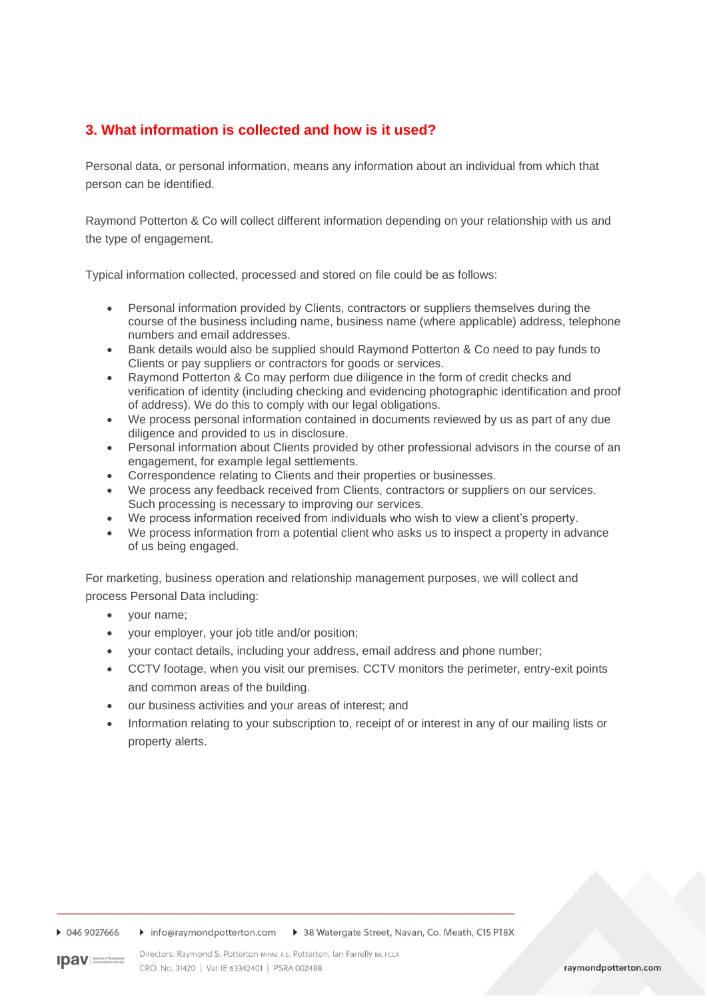# **3. What information is collected and how is it used?**

Personal data, or personal information, means any information about an individual from which that person can be identified.

Raymond Potterton & Co will collect different information depending on your relationship with us and the type of engagement.

Typical information collected, processed and stored on file could be as follows:

- Personal information provided by Clients, contractors or suppliers themselves during the course of the business including name, business name (where applicable) address, telephone numbers and email addresses.
- Bank details would also be supplied should Raymond Potterton & Co need to pay funds to Clients or pay suppliers or contractors for goods or services.
- Raymond Potterton & Co may perform due diligence in the form of credit checks and verification of identity (including checking and evidencing photographic identification and proof of address). We do this to comply with our legal obligations.
- We process personal information contained in documents reviewed by us as part of any due diligence and provided to us in disclosure.
- Personal information about Clients provided by other professional advisors in the course of an engagement, for example legal settlements.
- Correspondence relating to Clients and their properties or businesses.
- We process any feedback received from Clients, contractors or suppliers on our services. Such processing is necessary to improving our services.
- We process information received from individuals who wish to view a client's property.
- We process information from a potential client who asks us to inspect a property in advance of us being engaged.

For marketing, business operation and relationship management purposes, we will collect and process Personal Data including:

- your name;
- your employer, your job title and/or position;
- your contact details, including your address, email address and phone number;
- CCTV footage, when you visit our premises. CCTV monitors the perimeter, entry-exit points and common areas of the building.
- our business activities and your areas of interest; and
- Information relating to your subscription to, receipt of or interest in any of our mailing lists or property alerts.

▶ 046 9027666 Info@raymondpotterton.com > 38 Watergate Street, Navan, Co. Meath, C15 PT8X

**IDAV** Institute of Professional

Directors: Raymond S. Potterton MIPAV, A.E. Potterton, Ian Farrelly BA. FCCA CRO. No. 31420 | Vat IE 63342401 | PSRA 002488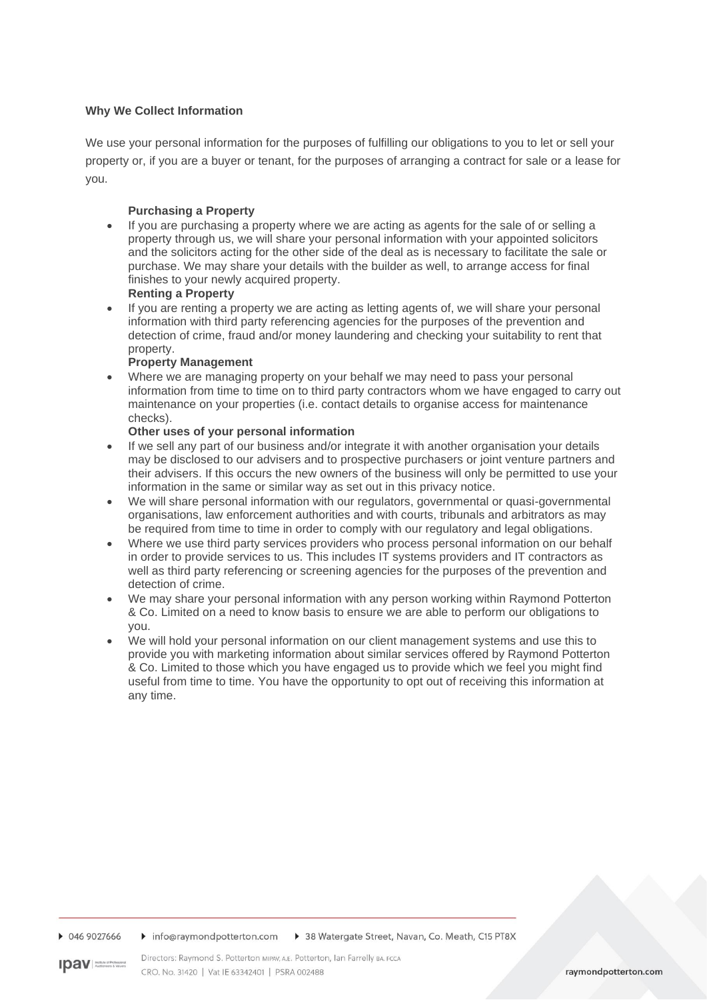#### **Why We Collect Information**

We use your personal information for the purposes of fulfilling our obligations to you to let or sell your property or, if you are a buyer or tenant, for the purposes of arranging a contract for sale or a lease for you.

#### **Purchasing a Property**

• If you are purchasing a property where we are acting as agents for the sale of or selling a property through us, we will share your personal information with your appointed solicitors and the solicitors acting for the other side of the deal as is necessary to facilitate the sale or purchase. We may share your details with the builder as well, to arrange access for final finishes to your newly acquired property.

#### **Renting a Property**

If you are renting a property we are acting as letting agents of, we will share your personal information with third party referencing agencies for the purposes of the prevention and detection of crime, fraud and/or money laundering and checking your suitability to rent that property.

#### **Property Management**

Where we are managing property on your behalf we may need to pass your personal information from time to time on to third party contractors whom we have engaged to carry out maintenance on your properties (i.e. contact details to organise access for maintenance checks).

#### **Other uses of your personal information**

- If we sell any part of our business and/or integrate it with another organisation your details may be disclosed to our advisers and to prospective purchasers or joint venture partners and their advisers. If this occurs the new owners of the business will only be permitted to use your information in the same or similar way as set out in this privacy notice.
- We will share personal information with our regulators, governmental or quasi-governmental organisations, law enforcement authorities and with courts, tribunals and arbitrators as may be required from time to time in order to comply with our regulatory and legal obligations.
- Where we use third party services providers who process personal information on our behalf in order to provide services to us. This includes IT systems providers and IT contractors as well as third party referencing or screening agencies for the purposes of the prevention and detection of crime.
- We may share your personal information with any person working within Raymond Potterton & Co. Limited on a need to know basis to ensure we are able to perform our obligations to you.
- We will hold your personal information on our client management systems and use this to provide you with marketing information about similar services offered by Raymond Potterton & Co. Limited to those which you have engaged us to provide which we feel you might find useful from time to time. You have the opportunity to opt out of receiving this information at any time.

▶ 046 9027666 ▶ info@raymondpotterton.com ▶ 38 Watergate Street, Navan, Co. Meath, C15 PT8X

Directors: Raymond S. Potterton MIPAV, A.E. Potterton, Ian Farrelly BA, FCCA **IDAV** Author of Professional CRO, No. 31420 | Vat IE 63342401 | PSRA 002488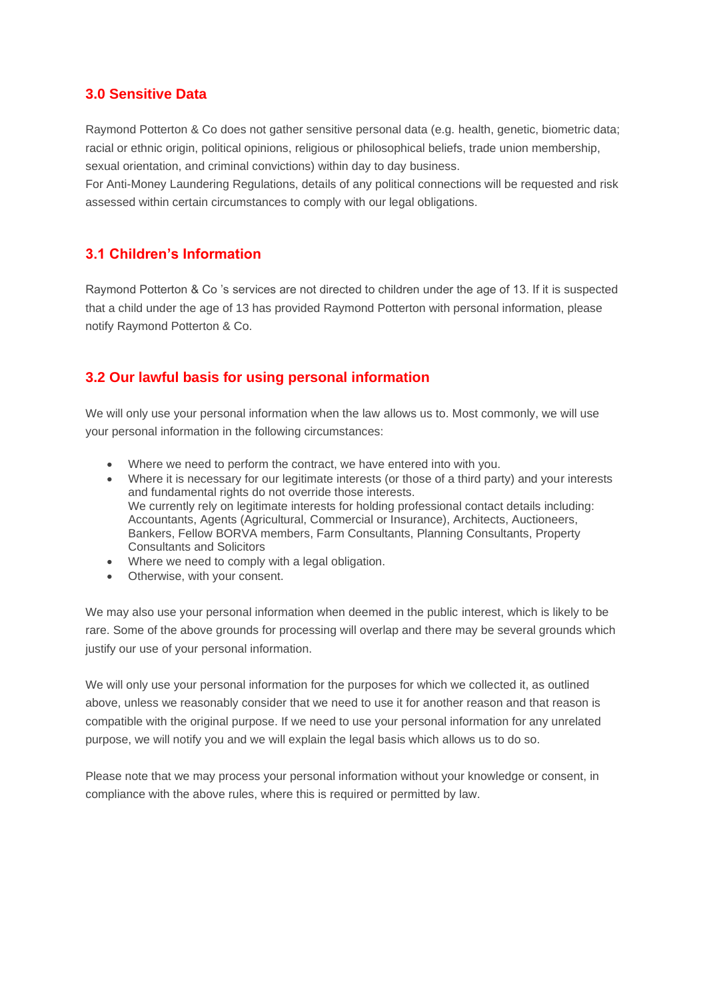### **3.0 Sensitive Data**

Raymond Potterton & Co does not gather sensitive personal data (e.g. health, genetic, biometric data; racial or ethnic origin, political opinions, religious or philosophical beliefs, trade union membership, sexual orientation, and criminal convictions) within day to day business.

For Anti-Money Laundering Regulations, details of any political connections will be requested and risk assessed within certain circumstances to comply with our legal obligations.

### **3.1 Children's Information**

Raymond Potterton & Co 's services are not directed to children under the age of 13. If it is suspected that a child under the age of 13 has provided Raymond Potterton with personal information, please notify Raymond Potterton & Co.

# **3.2 Our lawful basis for using personal information**

We will only use your personal information when the law allows us to. Most commonly, we will use your personal information in the following circumstances:

- Where we need to perform the contract, we have entered into with you.
- Where it is necessary for our legitimate interests (or those of a third party) and your interests and fundamental rights do not override those interests. We currently rely on legitimate interests for holding professional contact details including: Accountants, Agents (Agricultural, Commercial or Insurance), Architects, Auctioneers, Bankers, Fellow BORVA members, Farm Consultants, Planning Consultants, Property Consultants and Solicitors
- Where we need to comply with a legal obligation.
- Otherwise, with your consent.

We may also use your personal information when deemed in the public interest, which is likely to be rare. Some of the above grounds for processing will overlap and there may be several grounds which justify our use of your personal information.

We will only use your personal information for the purposes for which we collected it, as outlined above, unless we reasonably consider that we need to use it for another reason and that reason is compatible with the original purpose. If we need to use your personal information for any unrelated purpose, we will notify you and we will explain the legal basis which allows us to do so.

Please note that we may process your personal information without your knowledge or consent, in compliance with the above rules, where this is required or permitted by law.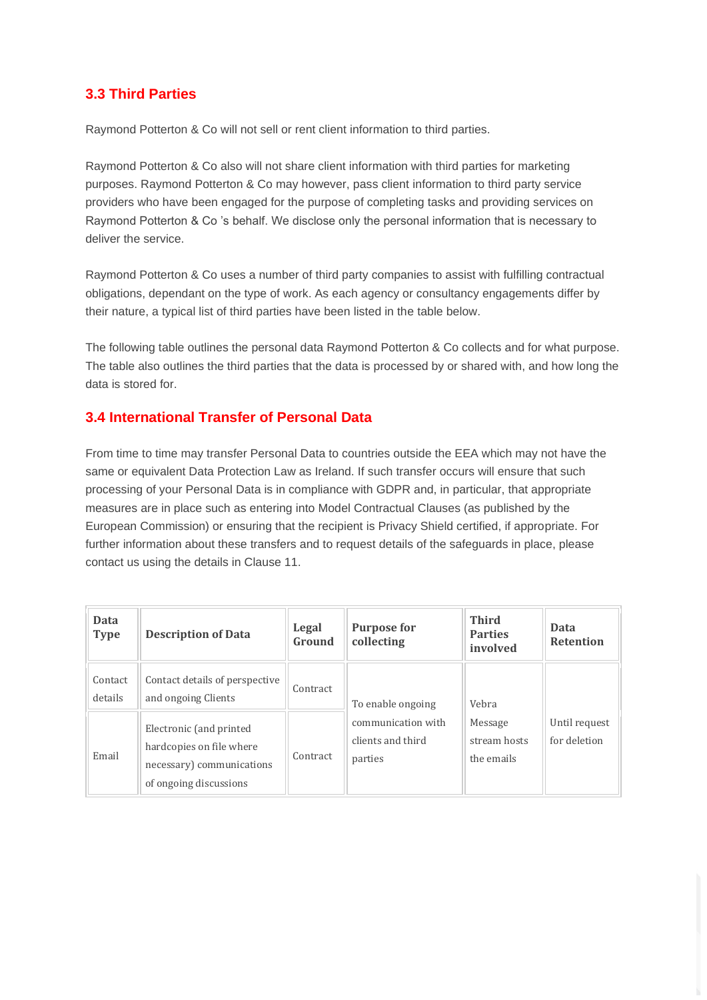# **3.3 Third Parties**

Raymond Potterton & Co will not sell or rent client information to third parties.

Raymond Potterton & Co also will not share client information with third parties for marketing purposes. Raymond Potterton & Co may however, pass client information to third party service providers who have been engaged for the purpose of completing tasks and providing services on Raymond Potterton & Co 's behalf. We disclose only the personal information that is necessary to deliver the service.

Raymond Potterton & Co uses a number of third party companies to assist with fulfilling contractual obligations, dependant on the type of work. As each agency or consultancy engagements differ by their nature, a typical list of third parties have been listed in the table below.

The following table outlines the personal data Raymond Potterton & Co collects and for what purpose. The table also outlines the third parties that the data is processed by or shared with, and how long the data is stored for.

# **3.4 International Transfer of Personal Data**

From time to time may transfer Personal Data to countries outside the EEA which may not have the same or equivalent Data Protection Law as Ireland. If such transfer occurs will ensure that such processing of your Personal Data is in compliance with GDPR and, in particular, that appropriate measures are in place such as entering into Model Contractual Clauses (as published by the European Commission) or ensuring that the recipient is Privacy Shield certified, if appropriate. For further information about these transfers and to request details of the safeguards in place, please contact us using the details in Clause 11.

| <b>Data</b><br><b>Type</b> | <b>Description of Data</b>                                                                                 | Legal<br>Ground | <b>Purpose for</b><br>collecting                   | <b>Third</b><br><b>Parties</b><br>involved | <b>Data</b><br><b>Retention</b> |
|----------------------------|------------------------------------------------------------------------------------------------------------|-----------------|----------------------------------------------------|--------------------------------------------|---------------------------------|
| Contact<br>details         | Contact details of perspective<br>and ongoing Clients                                                      | Contract        | To enable ongoing                                  | Vebra                                      |                                 |
| Email                      | Electronic (and printed<br>hardcopies on file where<br>necessary) communications<br>of ongoing discussions | Contract        | communication with<br>clients and third<br>parties | Message<br>stream hosts<br>the emails      | Until request<br>for deletion   |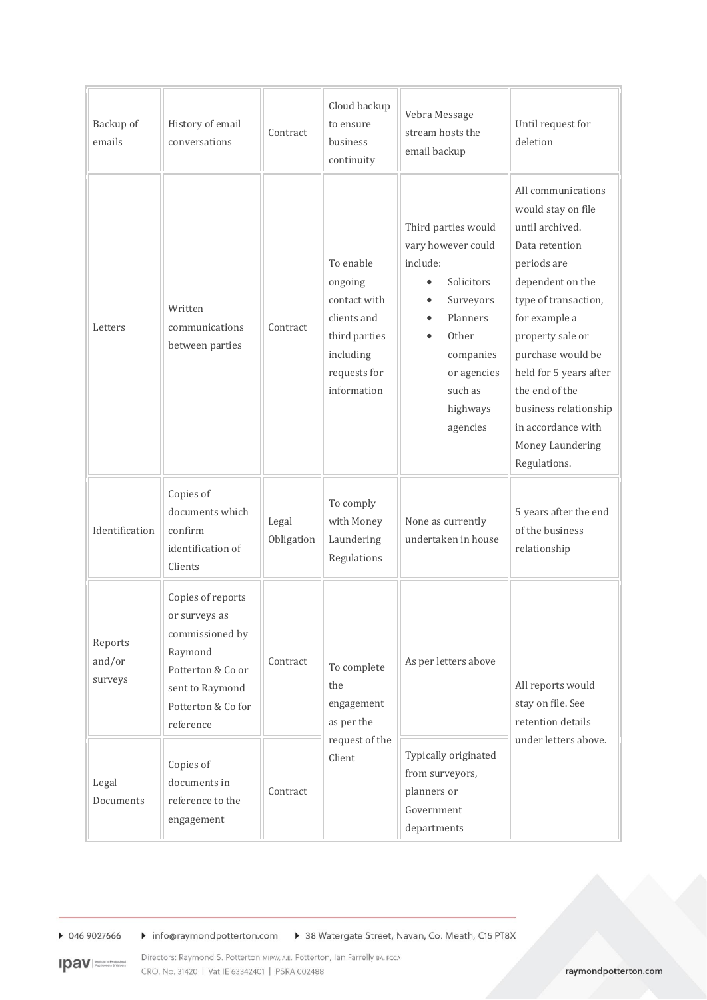| Backup of<br>emails          | History of email<br>conversations                                                                                                           | Contract            | Cloud backup<br>to ensure<br>business<br>continuity                                                              | Vebra Message<br>stream hosts the<br>email backup                                                                                                                                 | Until request for<br>deletion                                                                                                                                                                                                                                                                                                     |
|------------------------------|---------------------------------------------------------------------------------------------------------------------------------------------|---------------------|------------------------------------------------------------------------------------------------------------------|-----------------------------------------------------------------------------------------------------------------------------------------------------------------------------------|-----------------------------------------------------------------------------------------------------------------------------------------------------------------------------------------------------------------------------------------------------------------------------------------------------------------------------------|
| Letters                      | Written<br>communications<br>between parties                                                                                                | Contract            | To enable<br>ongoing<br>contact with<br>clients and<br>third parties<br>including<br>requests for<br>information | Third parties would<br>vary however could<br>include:<br>Solicitors<br>Surveyors<br>$\bullet$<br>Planners<br>Other<br>companies<br>or agencies<br>such as<br>highways<br>agencies | All communications<br>would stay on file<br>until archived.<br>Data retention<br>periods are<br>dependent on the<br>type of transaction,<br>for example a<br>property sale or<br>purchase would be<br>held for 5 years after<br>the end of the<br>business relationship<br>in accordance with<br>Money Laundering<br>Regulations. |
| Identification               | Copies of<br>documents which<br>confirm<br>identification of<br>Clients                                                                     | Legal<br>Obligation | To comply<br>with Money<br>Laundering<br>Regulations                                                             | None as currently<br>undertaken in house                                                                                                                                          | 5 years after the end<br>of the business<br>relationship                                                                                                                                                                                                                                                                          |
| Reports<br>and/or<br>surveys | Copies of reports<br>or surveys as<br>commissioned by<br>Raymond<br>Potterton & Co or<br>sent to Raymond<br>Potterton & Co for<br>reference | Contract            | To complete<br>the<br>engagement<br>as per the                                                                   | As per letters above                                                                                                                                                              | All reports would<br>stay on file. See<br>retention details                                                                                                                                                                                                                                                                       |
| Legal<br>Documents           | Copies of<br>documents in<br>reference to the<br>engagement                                                                                 | Contract            | request of the<br>Client                                                                                         | Typically originated<br>from surveyors,<br>planners or<br>Government<br>departments                                                                                               | under letters above.                                                                                                                                                                                                                                                                                                              |

▶ 046 9027666 Info@raymondpotterton.com D 38 Watergate Street, Navan, Co. Meath, C15 PT8X

Directors: Raymond S. Potterton MIPAV, A.E. Potterton, Ian Farrelly BA. FCCA **IDAV** Nutlet of Professional CRO. No. 31420 | Vat IE 63342401 | PSRA 002488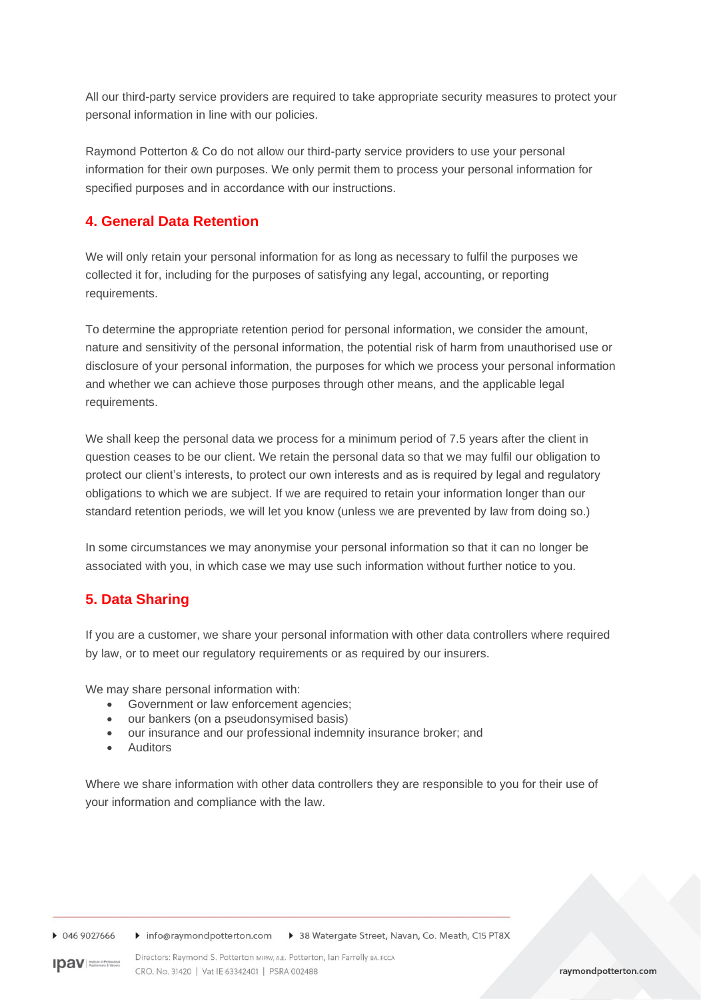All our third-party service providers are required to take appropriate security measures to protect your personal information in line with our policies.

Raymond Potterton & Co do not allow our third-party service providers to use your personal information for their own purposes. We only permit them to process your personal information for specified purposes and in accordance with our instructions.

# **4. General Data Retention**

We will only retain your personal information for as long as necessary to fulfil the purposes we collected it for, including for the purposes of satisfying any legal, accounting, or reporting requirements.

To determine the appropriate retention period for personal information, we consider the amount, nature and sensitivity of the personal information, the potential risk of harm from unauthorised use or disclosure of your personal information, the purposes for which we process your personal information and whether we can achieve those purposes through other means, and the applicable legal requirements.

We shall keep the personal data we process for a minimum period of 7.5 years after the client in question ceases to be our client. We retain the personal data so that we may fulfil our obligation to protect our client's interests, to protect our own interests and as is required by legal and regulatory obligations to which we are subject. If we are required to retain your information longer than our standard retention periods, we will let you know (unless we are prevented by law from doing so.)

In some circumstances we may anonymise your personal information so that it can no longer be associated with you, in which case we may use such information without further notice to you.

# **5. Data Sharing**

If you are a customer, we share your personal information with other data controllers where required by law, or to meet our regulatory requirements or as required by our insurers.

We may share personal information with:

- Government or law enforcement agencies;
- our bankers (on a pseudonsymised basis)
- our insurance and our professional indemnity insurance broker; and
- **Auditors**

Where we share information with other data controllers they are responsible to you for their use of your information and compliance with the law.

 $0469027666$ ▶ info@raymondpotterton.com ▶ 38 Watergate Street, Navan, Co. Meath, C15 PT8X

Directors: Raymond S. Potterton MIPAV, A.E. Potterton, Ian Farrelly BA. FCCA **IDAV** Auditories & Valuer CRO. No. 31420 | Vat IE 63342401 | PSRA 002488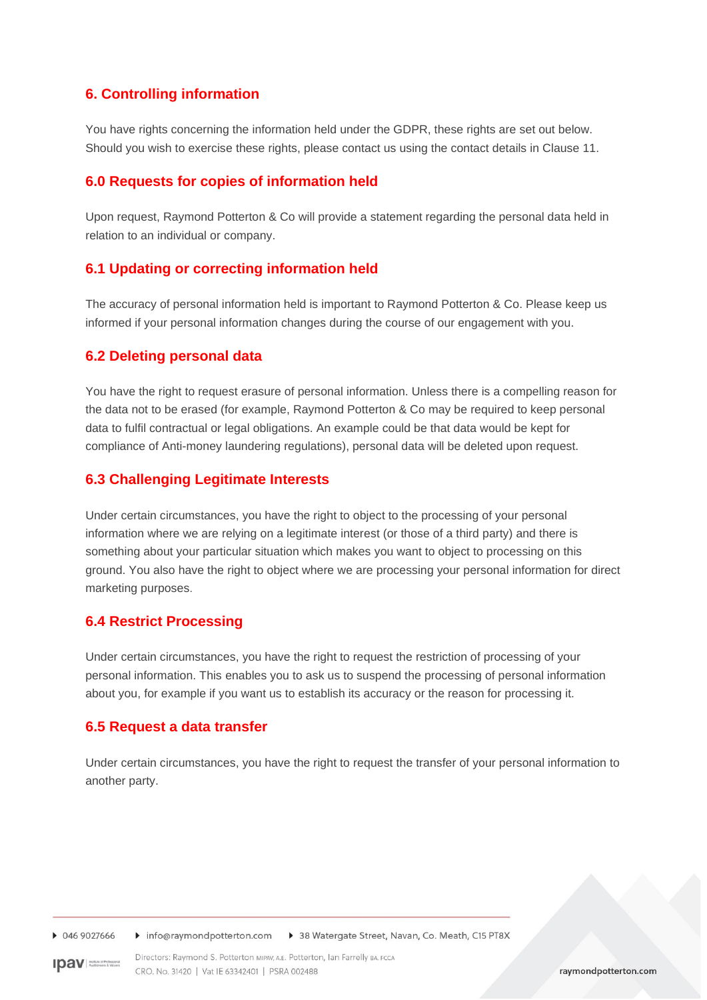# **6. Controlling information**

You have rights concerning the information held under the GDPR, these rights are set out below. Should you wish to exercise these rights, please contact us using the contact details in Clause 11.

#### **6.0 Requests for copies of information held**

Upon request, Raymond Potterton & Co will provide a statement regarding the personal data held in relation to an individual or company.

#### **6.1 Updating or correcting information held**

The accuracy of personal information held is important to Raymond Potterton & Co. Please keep us informed if your personal information changes during the course of our engagement with you.

#### **6.2 Deleting personal data**

You have the right to request erasure of personal information. Unless there is a compelling reason for the data not to be erased (for example, Raymond Potterton & Co may be required to keep personal data to fulfil contractual or legal obligations. An example could be that data would be kept for compliance of Anti-money laundering regulations), personal data will be deleted upon request.

#### **6.3 Challenging Legitimate Interests**

Under certain circumstances, you have the right to object to the processing of your personal information where we are relying on a legitimate interest (or those of a third party) and there is something about your particular situation which makes you want to object to processing on this ground. You also have the right to object where we are processing your personal information for direct marketing purposes.

#### **6.4 Restrict Processing**

Under certain circumstances, you have the right to request the restriction of processing of your personal information. This enables you to ask us to suspend the processing of personal information about you, for example if you want us to establish its accuracy or the reason for processing it.

#### **6.5 Request a data transfer**

Under certain circumstances, you have the right to request the transfer of your personal information to another party.

0469027666 Info@raymondpotterton.com D 38 Watergate Street, Navan, Co. Meath, C15 PT8X

Directors: Raymond S. Potterton MIPAV, A.E. Potterton, Ian Farrelly BA. FCCA **IDAV** Audioneers & Values CRO. No. 31420 | Vat IE 63342401 | PSRA 002488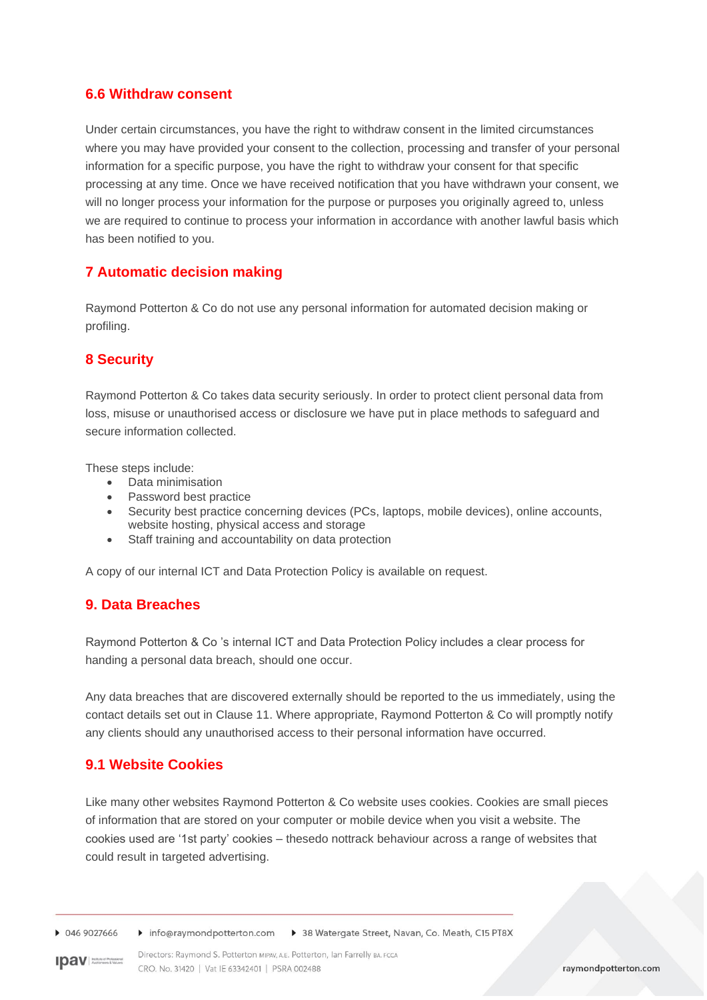#### **6.6 Withdraw consent**

Under certain circumstances, you have the right to withdraw consent in the limited circumstances where you may have provided your consent to the collection, processing and transfer of your personal information for a specific purpose, you have the right to withdraw your consent for that specific processing at any time. Once we have received notification that you have withdrawn your consent, we will no longer process your information for the purpose or purposes you originally agreed to, unless we are required to continue to process your information in accordance with another lawful basis which has been notified to you.

### **7 Automatic decision making**

Raymond Potterton & Co do not use any personal information for automated decision making or profiling.

# **8 Security**

Raymond Potterton & Co takes data security seriously. In order to protect client personal data from loss, misuse or unauthorised access or disclosure we have put in place methods to safeguard and secure information collected.

These steps include:

- Data minimisation
- Password best practice
- Security best practice concerning devices (PCs, laptops, mobile devices), online accounts, website hosting, physical access and storage
- Staff training and accountability on data protection

A copy of our internal ICT and Data Protection Policy is available on request.

### **9. Data Breaches**

Raymond Potterton & Co 's internal ICT and Data Protection Policy includes a clear process for handing a personal data breach, should one occur.

Any data breaches that are discovered externally should be reported to the us immediately, using the contact details set out in Clause 11. Where appropriate, Raymond Potterton & Co will promptly notify any clients should any unauthorised access to their personal information have occurred.

### **9.1 Website Cookies**

Like many other websites Raymond Potterton & Co website uses cookies. Cookies are small pieces of information that are stored on your computer or mobile device when you visit a website. The cookies used are '1st party' cookies – thesedo nottrack behaviour across a range of websites that could result in targeted advertising.

▶ 046 9027666 Info@raymondpotterton.com > 38 Watergate Street, Navan, Co. Meath, C15 PT8X

**IDAV** Australian SQL

Directors: Raymond S. Potterton MIPAV, A.E. Potterton, Ian Farrelly BA. FCCA CRO, No. 31420 | Vat IE 63342401 | PSRA 002488